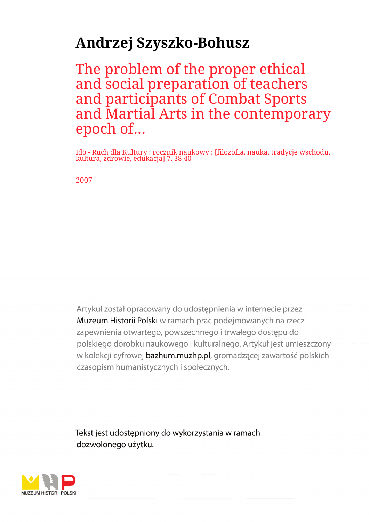# **Andrzej Szyszko-Bohusz**

The problem of the proper ethical and social preparation of teachers and participants of Combat Sports and Martial Arts in the contemporary epoch of...

Idō - Ruch dla Kultury : rocznik naukowy : [filozofia, nauka, tradycje wschodu, kultura, zdrowie, edukacja] 7, 38-40

2007

Artykuł został opracowany do udostepnienia w internecie przez Muzeum Historii Polski w ramach prac podejmowanych na rzecz zapewnienia otwartego, powszechnego i trwałego dostępu do polskiego dorobku naukowego i kulturalnego. Artykuł jest umieszczony w kolekcji cyfrowej bazhum.muzhp.pl, gromadzącej zawartość polskich czasopism humanistycznych i społecznych.

Tekst jest udostępniony do wykorzystania w ramach dozwolonego użytku.

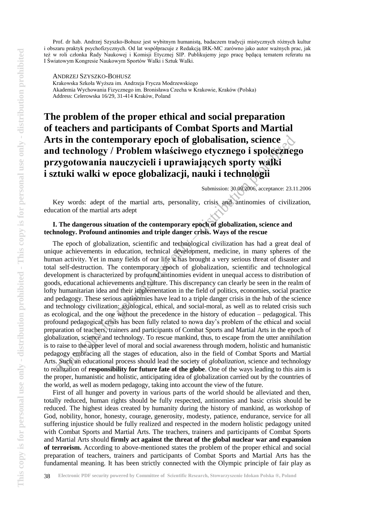Prof. dr hab. Andrzej Szyszko-Bohusz jest wybitnym humanistą, badaczem tradycji mistycznych różnych kultur i obszaru praktyk psychofizycznych. Od lat współpracuje z Redakcją IRK-MC zarówno jako autor ważnych prac, jak też w roli członka Rady Naukowej i Komisji Etycznej SIP. Publikujemy jego pracę będącą tematem referatu na I Światowym Kongresie Naukowym Sportów Walki i Sztuk Walki.

ANDRZEJ SZYSZKO-BOHUSZ

Krakowska Szkoła Wyższa im. Andrzeja Frycza Modrzewskiego Akademia Wychowania Fizycznego im. Bronisława Czecha w Krakowie, Kraków (Polska) Address: Celerowska 16/29, 31-414 Kraków, Poland

# **The problem of the proper ethical and social preparation of teachers and participants of Combat Sports and Martial Arts in the contemporary epoch of globalisation, science and technology / Problem właściwego etycznego i społecznego przygotowania nauczycieli i uprawiających sporty walki i sztuki walki w epoce globalizacji, nauki i technologii**

Submission: 30.09.2006, acceptance: 23.11.2006

Key words: adept of the martial arts, personality, crisis and antinomies of civilization, education of the martial arts adept

## **I. The dangerous situation of the contemporary epoch of globalization, science and technology. Profound antinomies and triple danger crisis. Ways of the rescue**

The epoch of globalization, scientific and technological civilization has had a great deal of unique achievements in education, technical development, medicine, in many spheres of the human activity. Yet in many fields of our life it has brought a very serious threat of disaster and total self-destruction. The contemporary epoch of globalization, scientific and technological development is characterized by profound antinomies evident in unequal access to distribution of goods, educational achievements and culture. This discrepancy can clearly be seen in the realm of lofty humanitarian idea and their implementation in the field of politics, economies, social practice and pedagogy. These serious antinomies have lead to a triple danger crisis in the hub of the science and technology civilization: axiological, ethical, and social-moral, as well as to related crisis such as ecological, and the one without the precedence in the history of education – pedagogical. This profound pedagogical crisis has been fully related to nowa day's problem of the ethical and social preparation of teachers, trainers and participants of Combat Sports and Martial Arts in the epoch of globalization, science and technology. To rescue mankind, thus, to escape from the utter annihilation is to raise to the upper level of moral and social awareness through modern, holistic and humanistic pedagogy embracing all the stages of education, also in the field of Combat Sports and Martial Arts. Such an educational process should lead the society of *globalization*, science and technology to realization of **responsibility for future fate of the globe**. One of the ways leading to this aim is the proper, humanistic and holistic, anticipating idea of globalization carried out by the countries of the world, as well as modern pedagogy, taking into account the view of the future.

First of all hunger and poverty in various parts of the world should be alleviated and then, totally reduced, human rights should be fully respected, antinomies and basic crisis should be reduced. The highest ideas created by humanity during the history of mankind, as workshop of God, nobility, honor, honesty, courage, generosity, modesty, patience, endurance, service for all suffering injustice should be fully realized and respected in the modern holistic pedagogy united with Combat Sports and Martial Arts. The teachers, trainers and participants of Combat Sports and Martial Arts should **firmly act against the threat of the global nuclear war and expansion of terrorism.** According to above-mentioned states the problem of the proper ethical and social preparation of teachers, trainers and participants of Combat Sports and Martial Arts has the fundamental [meaning. It](http://meaning.lt/) has been strictly connected with the Olympic principle of fair play as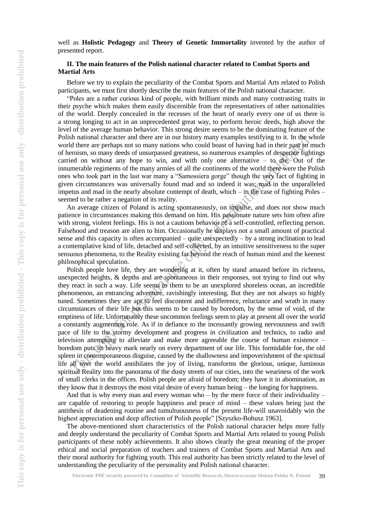well as **Holistic Pedagogy** and **Theory of Genetic Immortality** invented by the author of presented report.

### **II. The main features of the Polish national character related to Combat Sports and Martial Arts**

Before we try to explain the peculiarity of the Combat Sports and Martial Arts related to Polish participants, we must first shortly describe the main features of the Polish national character.

"Poles are a rather curious kind of people, with brilliant minds and many contrasting traits in their psyche which makes them easily discernible from the representatives of other nationalities of the world. Deeply concealed in the recesses of the heart of nearly every one of us there is a strong longing to act in an unprecedented great way, to perform heroic deeds, high above the level of the average human behavior. This strong desire seems to be the dominating feature of the Polish national character and there are in our history many examples testifying to it. In the whole world there are perhaps not so many nations who could boast of having had in their past so much of heroism, so many deeds of unsurpassed greatness, so numerous examples of desperate fightings carried on without any hope to win, and with only one alternative  $-$  to die. Out of the innumerable regiments of the many armies of all the continents of the world there were the Polish ones who took part in the last war many a "Samossiera gorge" though the very fact of fighting in given circumstances was universally found mad and so indeed it was; mad in the unparalleled impetus and mad in the nearly absolute contempt of death, which – in the case of fighting Poles – seemed to be rather a negation of its reality.

An average citizen of Poland is acting spontaneously, on impulse, and does not show much patience in circumstances making this demand on him. His passionate nature sets him often afire with strong, violent feelings. His is not a cautions behavior of a self-controlled, reflecting person. Falsehood and treason are alien to him. Occasionally he displays not a small amount of practical sense and this capacity is often accompanied – quite unexpectedly – by a strong inclination to lead a contemplative kind of life, detached and self-collected, by an intuitive sensitiveness to the super sensuous phenomena, to the Reality existing far beyond the reach of human mind and the keenest philosophical speculation.

Polish people love life, they are wondering at it, often by stand amazed before its richness, unexpected heights, & depths and are spontaneous in their responses, not trying to find out why they react in such a way. Life seems to them to be an unexplored shoreless ocean, an incredible phenomenon, an entrancing adventure, ravishingly interesting. But they are not always so highly tuned. Sometimes they are apt to feel discontent and indifference, reluctance and wrath in many circumstances of their life but this seems to be caused by boredom, by the sense of void, of the emptiness of life. Unfortunately these uncommon feelings seem to play at present all over the world a constantly augmenting role. As if in defiance to the incessantly growing nervousness and swift pace of life to the stormy development and progress in civilization and technics, to radio and television attempting to alleviate and make more agreeable the course of human existence – boredom puts its heavy mark nearly on every department of our life. This formidable foe, the old spleen in contemporaneous disguise, caused by the shallowness and impoverishment of the spiritual life all over the world annihilates the joy of living, transforms the glorious, unique, luminous spiritual Reality into the panorama of the dusty streets of our cities, into the weariness of the work of small clerks in the offices. Polish people are afraid of boredom; they have it in abomination, as they know that it destroys the most vital desire of every human being – the longing for happiness.

And that is why every man and every woman who – by the mere force of their individuality – are capable of restoring to people happiness and peace of mind – these values being just the antithesis of deadening routine and tumultuousness of the present life-will unavoidably win the highest appreciation and deep affection of Polish people" [Szyszko-Bohusz 1963].

The above-mentioned short characteristics of the Polish national character helps more fully and deeply understand the peculiarity of Combat Sports and Martial Arts related to young Polish participants of these nobly achievements. It also shows clearly the great meaning of the proper ethical and social preparation of teachers and trainers of Combat Sports and Martial Arts and their moral authority for fighting youth. This real authority has been strictly related to the level of understanding the peculiarity of the personality and Polish national character.